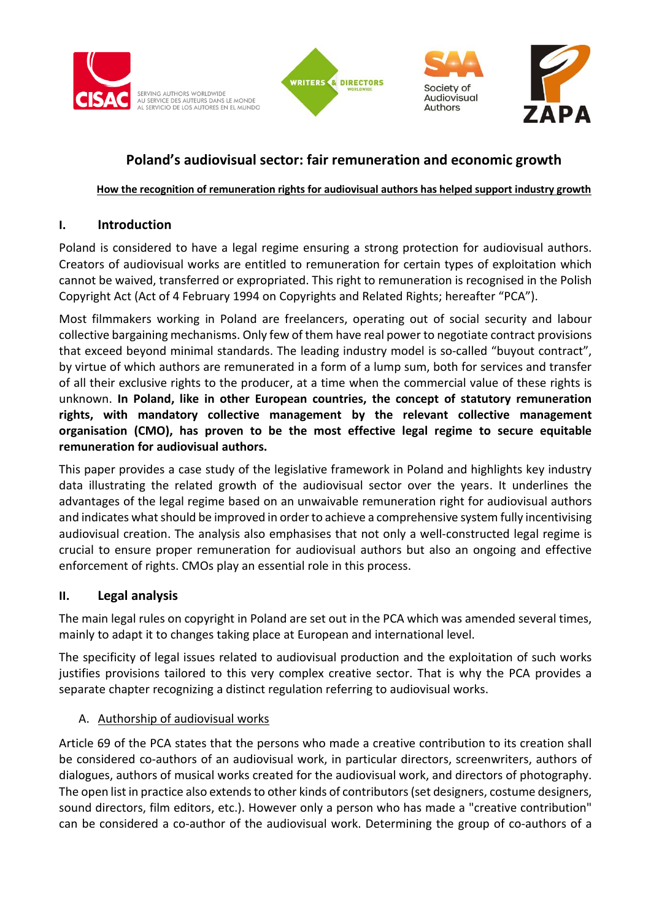

SERVING AUTHORS WORLDWIDE AU SERVICE DES AUTEURS DANS LE MONDE<br>AL SERVICIO DE LOS AUTORES EN EL MUNDO





# **Poland's audiovisual sector: fair remuneration and economic growth**

## **How the recognition of remuneration rights for audiovisual authors has helped support industry growth**

# **I. Introduction**

Poland is considered to have a legal regime ensuring a strong protection for audiovisual authors. Creators of audiovisual works are entitled to remuneration for certain types of exploitation which cannot be waived, transferred or expropriated. This right to remuneration is recognised in the Polish Copyright Act (Act of 4 February 1994 on Copyrights and Related Rights; hereafter "PCA").

Most filmmakers working in Poland are freelancers, operating out of social security and labour collective bargaining mechanisms. Only few of them have real power to negotiate contract provisions that exceed beyond minimal standards. The leading industry model is so-called "buyout contract", by virtue of which authors are remunerated in a form of a lump sum, both for services and transfer of all their exclusive rights to the producer, at a time when the commercial value of these rights is unknown. **In Poland, like in other European countries, the concept of statutory remuneration rights, with mandatory collective management by the relevant collective management organisation (CMO), has proven to be the most effective legal regime to secure equitable remuneration for audiovisual authors.**

This paper provides a case study of the legislative framework in Poland and highlights key industry data illustrating the related growth of the audiovisual sector over the years. It underlines the advantages of the legal regime based on an unwaivable remuneration right for audiovisual authors and indicates what should be improved in order to achieve a comprehensive system fully incentivising audiovisual creation. The analysis also emphasises that not only a well-constructed legal regime is crucial to ensure proper remuneration for audiovisual authors but also an ongoing and effective enforcement of rights. CMOs play an essential role in this process.

# **II. Legal analysis**

The main legal rules on copyright in Poland are set out in the PCA which was amended several times, mainly to adapt it to changes taking place at European and international level.

The specificity of legal issues related to audiovisual production and the exploitation of such works justifies provisions tailored to this very complex creative sector. That is why the PCA provides a separate chapter recognizing a distinct regulation referring to audiovisual works.

# A. Authorship of audiovisual works

Article 69 of the PCA states that the persons who made a creative contribution to its creation shall be considered co-authors of an audiovisual work, in particular directors, screenwriters, authors of dialogues, authors of musical works created for the audiovisual work, and directors of photography. The open list in practice also extends to other kinds of contributors (set designers, costume designers, sound directors, film editors, etc.). However only a person who has made a "creative contribution" can be considered a co-author of the audiovisual work. Determining the group of co-authors of a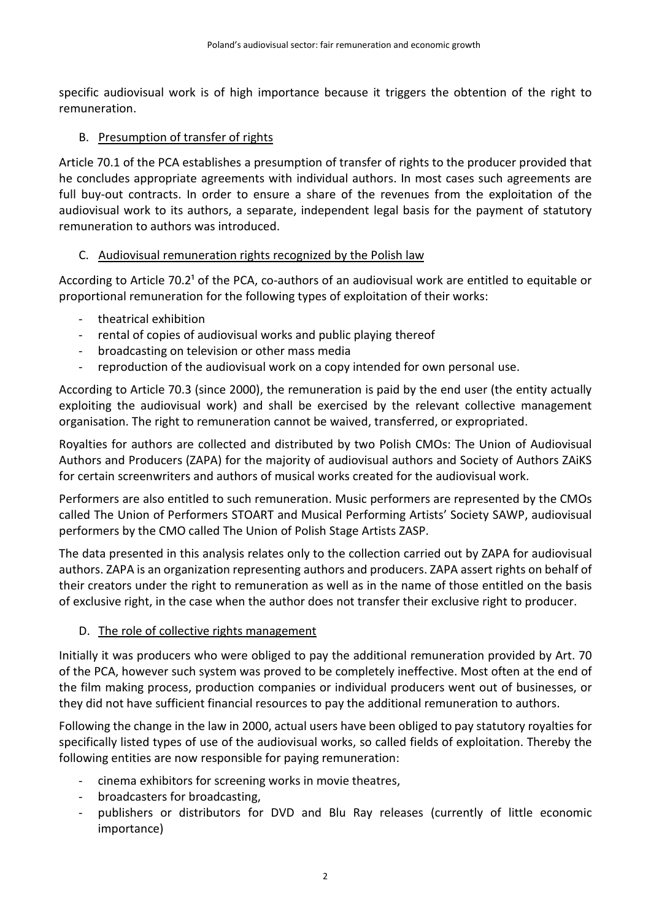specific audiovisual work is of high importance because it triggers the obtention of the right to remuneration.

### B. Presumption of transfer of rights

Article 70.1 of the PCA establishes a presumption of transfer of rights to the producer provided that he concludes appropriate agreements with individual authors. In most cases such agreements are full buy-out contracts. In order to ensure a share of the revenues from the exploitation of the audiovisual work to its authors, a separate, independent legal basis for the payment of statutory remuneration to authors was introduced.

### C. Audiovisual remuneration rights recognized by the Polish law

According to Article 70.2<sup>1</sup> of the PCA, co-authors of an audiovisual work are entitled to equitable or proportional remuneration for the following types of exploitation of their works:

- theatrical exhibition
- rental of copies of audiovisual works and public playing thereof
- broadcasting on television or other mass media
- reproduction of the audiovisual work on a copy intended for own personal use.

According to Article 70.3 (since 2000), the remuneration is paid by the end user (the entity actually exploiting the audiovisual work) and shall be exercised by the relevant collective management organisation. The right to remuneration cannot be waived, transferred, or expropriated.

Royalties for authors are collected and distributed by two Polish CMOs: The Union of Audiovisual Authors and Producers (ZAPA) for the majority of audiovisual authors and Society of Authors ZAiKS for certain screenwriters and authors of musical works created for the audiovisual work.

Performers are also entitled to such remuneration. Music performers are represented by the CMOs called The Union of Performers STOART and Musical Performing Artists' Society SAWP, audiovisual performers by the CMO called The Union of Polish Stage Artists ZASP.

The data presented in this analysis relates only to the collection carried out by ZAPA for audiovisual authors. ZAPA is an organization representing authors and producers. ZAPA assert rights on behalf of their creators under the right to remuneration as well as in the name of those entitled on the basis of exclusive right, in the case when the author does not transfer their exclusive right to producer.

### D. The role of collective rights management

Initially it was producers who were obliged to pay the additional remuneration provided by Art. 70 of the PCA, however such system was proved to be completely ineffective. Most often at the end of the film making process, production companies or individual producers went out of businesses, or they did not have sufficient financial resources to pay the additional remuneration to authors.

Following the change in the law in 2000, actual users have been obliged to pay statutory royalties for specifically listed types of use of the audiovisual works, so called fields of exploitation. Thereby the following entities are now responsible for paying remuneration:

- cinema exhibitors for screening works in movie theatres,
- broadcasters for broadcasting,
- publishers or distributors for DVD and Blu Ray releases (currently of little economic importance)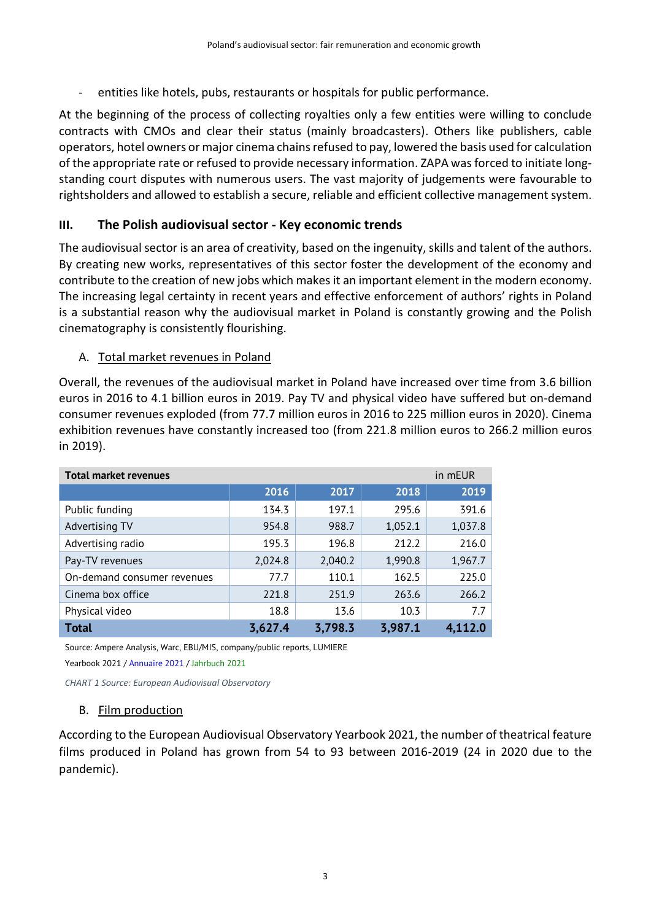- entities like hotels, pubs, restaurants or hospitals for public performance.

At the beginning of the process of collecting royalties only a few entities were willing to conclude contracts with CMOs and clear their status (mainly broadcasters). Others like publishers, cable operators, hotel owners or major cinema chains refused to pay, lowered the basis used for calculation of the appropriate rate or refused to provide necessary information. ZAPA wasforced to initiate longstanding court disputes with numerous users. The vast majority of judgements were favourable to rightsholders and allowed to establish a secure, reliable and efficient collective management system.

# **III. The Polish audiovisual sector - Key economic trends**

The audiovisual sector is an area of creativity, based on the ingenuity, skills and talent of the authors. By creating new works, representatives of this sector foster the development of the economy and contribute to the creation of new jobs which makes it an important element in the modern economy. The increasing legal certainty in recent years and effective enforcement of authors' rights in Poland is a substantial reason why the audiovisual market in Poland is constantly growing and the Polish cinematography is consistently flourishing.

### A. Total market revenues in Poland

Overall, the revenues of the audiovisual market in Poland have increased over time from 3.6 billion euros in 2016 to 4.1 billion euros in 2019. Pay TV and physical video have suffered but on-demand consumer revenues exploded (from 77.7 million euros in 2016 to 225 million euros in 2020). Cinema exhibition revenues have constantly increased too (from 221.8 million euros to 266.2 million euros in 2019).

| <b>Total market revenues</b> |         |         |         | in mEUR |
|------------------------------|---------|---------|---------|---------|
|                              | 2016    | 2017    | 2018    | 2019    |
| Public funding               | 134.3   | 197.1   | 295.6   | 391.6   |
| Advertising TV               | 954.8   | 988.7   | 1,052.1 | 1,037.8 |
| Advertising radio            | 195.3   | 196.8   | 212.2   | 216.0   |
| Pay-TV revenues              | 2,024.8 | 2,040.2 | 1,990.8 | 1,967.7 |
| On-demand consumer revenues  | 77.7    | 110.1   | 162.5   | 225.0   |
| Cinema box office            | 221.8   | 251.9   | 263.6   | 266.2   |
| Physical video               | 18.8    | 13.6    | 10.3    | 7.7     |
| <b>Total</b>                 | 3,627.4 | 3,798.3 | 3,987.1 | 4.112.0 |

Source: Ampere Analysis, Warc, EBU/MIS, company/public reports, LUMIERE Yearbook 2021 / Annuaire 2021 / Jahrbuch 2021

*CHART 1 Source: European Audiovisual Observatory*

### B. Film production

According to the European Audiovisual Observatory Yearbook 2021, the number of theatrical feature films produced in Poland has grown from 54 to 93 between 2016-2019 (24 in 2020 due to the pandemic).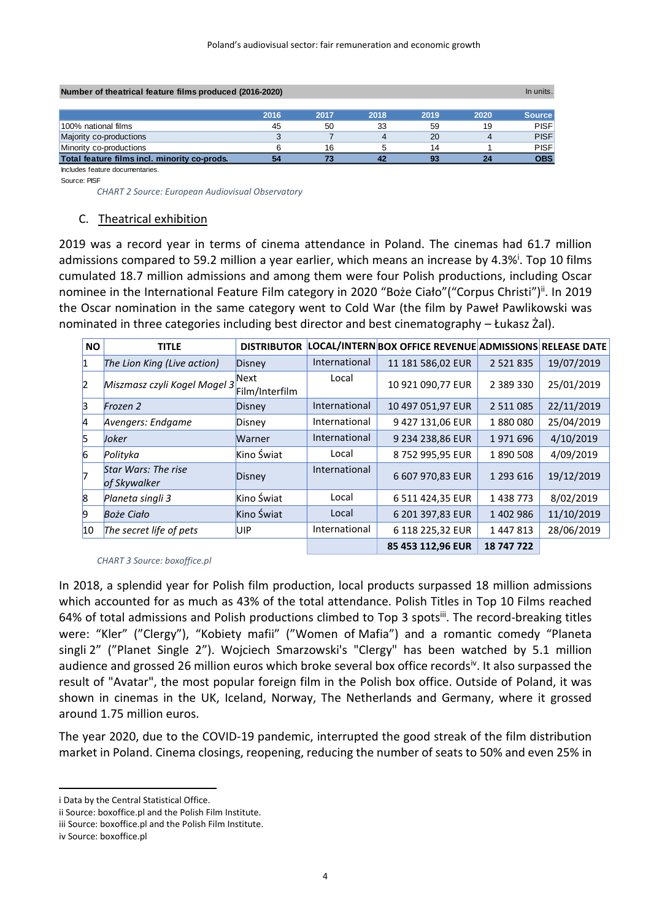| Number of theatrical feature films produced (2016-2020)<br>In units. |      |      |      |      |      |               |
|----------------------------------------------------------------------|------|------|------|------|------|---------------|
|                                                                      | 2016 | 2017 | 2018 | 2019 | 2020 | <b>Source</b> |
| 100% national films                                                  | 45   | 50   | 33   | 59   | 19   | <b>PISF</b>   |
| Majority co-productions                                              |      |      |      | 20   |      | <b>PISF</b>   |
| Minority co-productions                                              |      | 16   |      | 14   |      | <b>PISF</b>   |
| Total feature films incl. minority co-prods.                         | 54   |      |      | 93   | 24   | <b>OBS</b>    |

Includes feature documentaries. Source: PISF

 *CHART 2 Source: European Audiovisual Observatory*

#### C. Theatrical exhibition

2019 was a record year in terms of cinema attendance in Poland. The cinemas had 61.7 million admissions compared to 59.2 million a year earlier, which means an increase by 4.3%<sup>i</sup>. Top 10 films cumulated 18.7 million admissions and among them were four Polish productions, including Oscar nominee in the International Feature Film category in 2020 "Boże Ciało" ("Corpus Christi")<sup>ii</sup>. In 2019 the Oscar nomination in the same category went to Cold War (the film by Paweł Pawlikowski was nominated in three categories including best director and best cinematography – Łukasz Żal).

| <b>NO</b>    | <b>TITLE</b>                        | <b>DISTRIBUTOR</b>     |               | LOCAL/INTERN BOX OFFICE REVENUE ADMISSIONS RELEASE DATE |               |            |
|--------------|-------------------------------------|------------------------|---------------|---------------------------------------------------------|---------------|------------|
| 11           | The Lion King (Live action)         | Disney                 | International | 11 181 586,02 EUR                                       | 2 5 2 1 8 3 5 | 19/07/2019 |
| $\vert$ 2    | Miszmasz czyli Kogel Mogel 3        | Next<br>Film/Interfilm | Local         | 10 921 090,77 EUR                                       | 2 3 8 9 3 3 0 | 25/01/2019 |
| 13           | Frozen 2                            | Disney                 | International | 10 497 051,97 EUR                                       | 2 5 1 1 0 8 5 | 22/11/2019 |
| 14           | Avengers: Endgame                   | Disney                 | International | 9 427 131,06 EUR                                        | 1880080       | 25/04/2019 |
| 15           | Joker                               | Warner                 | International | 9 234 238.86 EUR                                        | 1971696       | 4/10/2019  |
| 6            | Polityka                            | Kino Świat             | Local         | 8752995,95 EUR                                          | 1890508       | 4/09/2019  |
|              | Star Wars: The rise<br>of Skywalker | Disney                 | International | 6 607 970,83 EUR                                        | 1 293 616     | 19/12/2019 |
| $\mathsf{B}$ | Planeta singli 3                    | Kino Świat             | Local         | 6 511 424,35 EUR                                        | 1438773       | 8/02/2019  |
| 19           | <b>Boże Ciało</b>                   | Kino Świat             | Local         | 6 201 397,83 EUR                                        | 1402986       | 11/10/2019 |
| 10           | The secret life of pets             | UIP                    | International | 6 118 225,32 EUR                                        | 1447813       | 28/06/2019 |
|              |                                     |                        |               | 85 453 112,96 EUR                                       | 18 747 722    |            |

 *CHART 3 Source: boxoffice.pl*

In 2018, a splendid year for Polish film production, local products surpassed 18 million admissions which accounted for as much as 43% of the total attendance. Polish Titles in Top 10 Films reached 64% of total admissions and Polish productions climbed to Top 3 spotsii. The record-breaking titles were: "Kler" ("Clergy"), "Kobiety mafii" ("Women of Mafia") and a romantic comedy "Planeta singli 2" ("Planet Single 2"). Wojciech Smarzowski's "Clergy" has been watched by 5.1 million audience and grossed 26 million euros which broke several box office recordsiv. It also surpassed the result of "Avatar", the most popular foreign film in the Polish box office. Outside of Poland, it was shown in cinemas in the UK, Iceland, Norway, The Netherlands and Germany, where it grossed around 1.75 million euros.

The year 2020, due to the COVID-19 pandemic, interrupted the good streak of the film distribution market in Poland. Cinema closings, reopening, reducing the number of seats to 50% and even 25% in

i Data by the Central Statistical Office.

ii Source: boxoffice.pl and the Polish Film Institute.

iii Source: boxoffice.pl and the Polish Film Institute.

iv Source: boxoffice.pl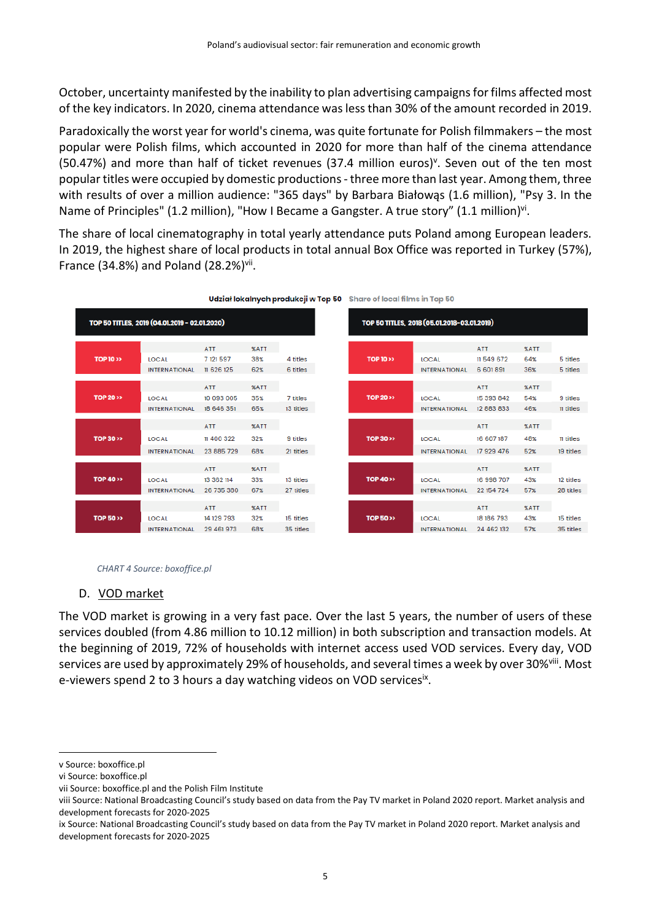October, uncertainty manifested by the inability to plan advertising campaigns for films affected most of the key indicators. In 2020, cinema attendance was less than 30% of the amount recorded in 2019.

Paradoxically the worst year for world's cinema, was quite fortunate for Polish filmmakers – the most popular were Polish films, which accounted in 2020 for more than half of the cinema attendance (50.47%) and more than half of ticket revenues (37.4 million euros)<sup>v</sup>. Seven out of the ten most popular titles were occupied by domestic productions - three more than last year. Among them, three with results of over a million audience: "365 days" by Barbara Białowąs (1.6 million), "Psy 3. In the Name of Principles" (1.2 million), "How I Became a Gangster. A true story" (1.1 million)<sup>vi</sup>.

The share of local cinematography in total yearly attendance puts Poland among European leaders. In 2019, the highest share of local products in total annual Box Office was reported in Turkey (57%), France (34.8%) and Poland (28.2%) $V^{ii}$ .



|  |  | Udział lokalnych produkcji w Top 50 Share of local films in Top 50 |  |
|--|--|--------------------------------------------------------------------|--|
|  |  |                                                                    |  |

| TOP 50 TITLES, 2018 (05.01.2018-03.01.2019) |                      |            |             |           |  |
|---------------------------------------------|----------------------|------------|-------------|-----------|--|
|                                             |                      | <b>ATT</b> | %ATT        |           |  |
| <b>TOP 10 &gt;&gt;</b>                      | LOCAL                | 11549672   | 64%         | 5 titles  |  |
|                                             | <b>INTERNATIONAL</b> | 6 601 891  | 36%         | 5 titles  |  |
|                                             |                      |            |             |           |  |
|                                             |                      | <b>ATT</b> | <b>XATT</b> |           |  |
| <b>TOP 20 &gt;&gt;</b>                      | LOCAL                | 15 393 842 | 54%         | 9 titles  |  |
|                                             | <b>INTERNATIONAL</b> | 12 883 833 | 46%         | 11 titles |  |
|                                             |                      |            |             |           |  |
|                                             |                      | <b>ATT</b> | <b>%ATT</b> |           |  |
| <b>TOP 30 &gt;&gt;</b>                      | LOCAL                | 16 607 187 | 48%         | 11 titles |  |
|                                             | <b>INTERNATIONAL</b> | 17 929 476 | 52%         | 19 titles |  |
|                                             |                      |            |             |           |  |
|                                             |                      | <b>ATT</b> | %ATT        |           |  |
| <b>TOP 40 &gt;&gt;</b>                      | LOCAL                | 16 998 707 | 43%         | 12 titles |  |
|                                             | <b>INTERNATIONAL</b> | 22 154 724 | 57%         | 28 titles |  |
|                                             |                      |            |             |           |  |
|                                             |                      | <b>ATT</b> | <b>%ATT</b> |           |  |
| <b>TOP 50 &gt;&gt;</b>                      | <b>LOCAL</b>         | 18 186 793 | 43%         | 15 titles |  |
|                                             | <b>INTERNATIONAL</b> | 24 462 132 | 57%         | 35 titles |  |

#### *CHART 4 Source: boxoffice.pl*

#### D. VOD market

The VOD market is growing in a very fast pace. Over the last 5 years, the number of users of these services doubled (from 4.86 million to 10.12 million) in both subscription and transaction models. At the beginning of 2019, 72% of households with internet access used VOD services. Every day, VOD services are used by approximately 29% of households, and several times a week by over 30%<sup>viii</sup>. Most e-viewers spend 2 to 3 hours a day watching videos on VOD servicesix.

v Source: boxoffice.pl

vi Source: boxoffice.pl

vii Source: boxoffice.pl and the Polish Film Institute

viii Source: National Broadcasting Council's study based on data from the Pay TV market in Poland 2020 report. Market analysis and development forecasts for 2020-2025

ix Source: National Broadcasting Council's study based on data from the Pay TV market in Poland 2020 report. Market analysis and development forecasts for 2020-2025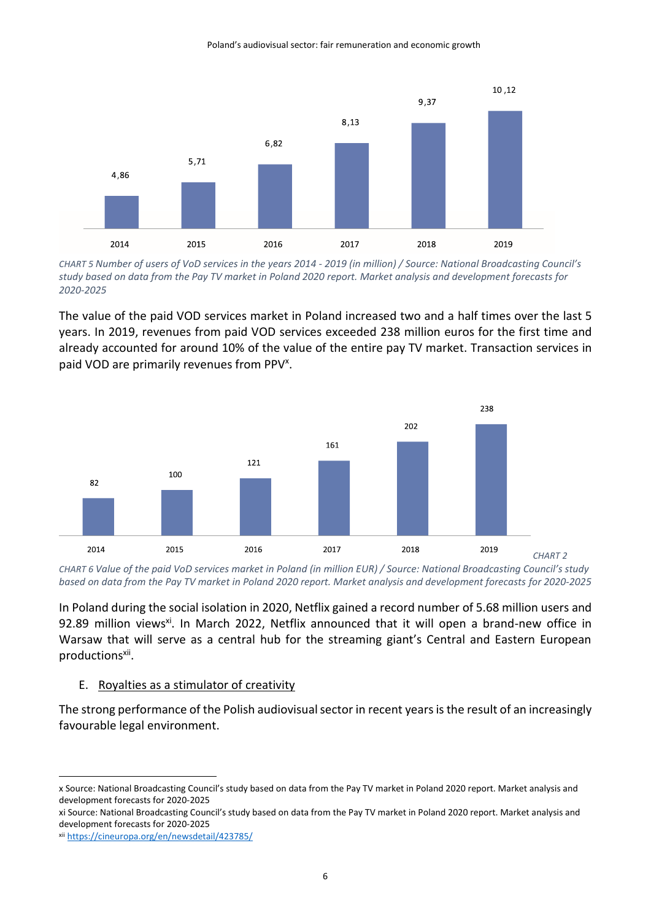

*CHART 5 Number of users of VoD services in the years 2014 - 2019 (in million) / Source: National Broadcasting Council's study based on data from the Pay TV market in Poland 2020 report. Market analysis and development forecasts for 2020-2025*

The value of the paid VOD services market in Poland increased two and a half times over the last 5 years. In 2019, revenues from paid VOD services exceeded 238 million euros for the first time and already accounted for around 10% of the value of the entire pay TV market. Transaction services in paid VOD are primarily revenues from PPV<sup>x</sup>.



*CHART 6 Value of the paid VoD services market in Poland (in million EUR) / Source: National Broadcasting Council's study based on data from the Pay TV market in Poland 2020 report. Market analysis and development forecasts for 2020-2025*

In Poland during the social isolation in 2020, Netflix gained a record number of 5.68 million users and 92.89 million views<sup>xi</sup>. In March 2022, Netflix announced that it will open a brand-new office in Warsaw that will serve as a central hub for the streaming giant's Central and Eastern European productionsxii.

#### E. Royalties as a stimulator of creativity

The strong performance of the Polish audiovisual sector in recent yearsis the result of an increasingly favourable legal environment.

xi Source: National Broadcasting Council's study based on data from the Pay TV market in Poland 2020 report. Market analysis and development forecasts for 2020-2025

x Source: National Broadcasting Council's study based on data from the Pay TV market in Poland 2020 report. Market analysis and development forecasts for 2020-2025

xii <https://cineuropa.org/en/newsdetail/423785/>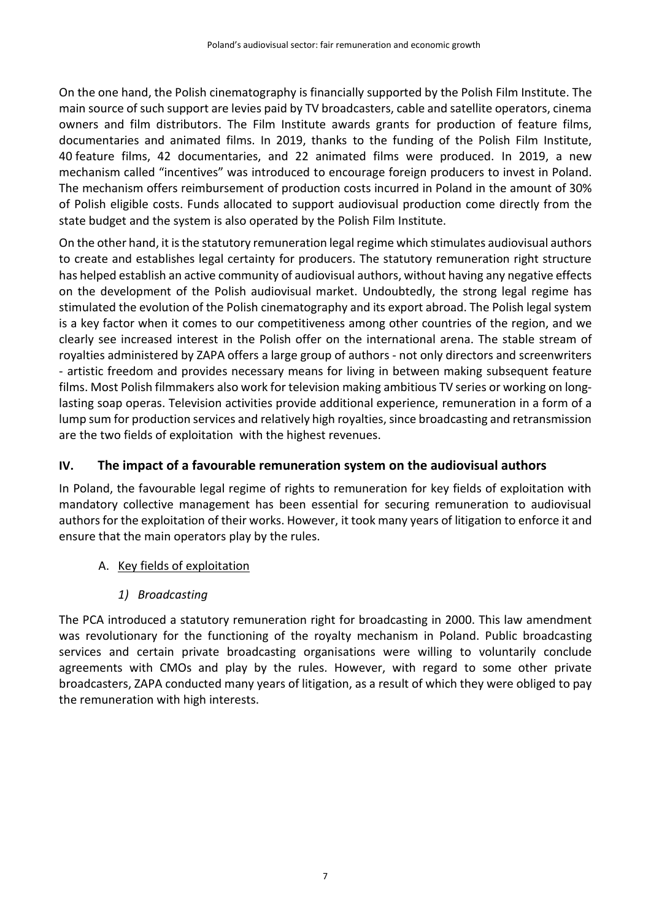On the one hand, the Polish cinematography is financially supported by the Polish Film Institute. The main source of such support are levies paid by TV broadcasters, cable and satellite operators, cinema owners and film distributors. The Film Institute awards grants for production of feature films, documentaries and animated films. In 2019, thanks to the funding of the Polish Film Institute, 40 feature films, 42 documentaries, and 22 animated films were produced. In 2019, a new mechanism called "incentives" was introduced to encourage foreign producers to invest in Poland. The mechanism offers reimbursement of production costs incurred in Poland in the amount of 30% of Polish eligible costs. Funds allocated to support audiovisual production come directly from the state budget and the system is also operated by the Polish Film Institute.

On the other hand, it is the statutory remuneration legal regime which stimulates audiovisual authors to create and establishes legal certainty for producers. The statutory remuneration right structure has helped establish an active community of audiovisual authors, without having any negative effects on the development of the Polish audiovisual market. Undoubtedly, the strong legal regime has stimulated the evolution of the Polish cinematography and its export abroad. The Polish legal system is a key factor when it comes to our competitiveness among other countries of the region, and we clearly see increased interest in the Polish offer on the international arena. The stable stream of royalties administered by ZAPA offers a large group of authors - not only directors and screenwriters - artistic freedom and provides necessary means for living in between making subsequent feature films. Most Polish filmmakers also work for television making ambitious TV series or working on longlasting soap operas. Television activities provide additional experience, remuneration in a form of a lump sum for production services and relatively high royalties, since broadcasting and retransmission are the two fields of exploitation with the highest revenues.

# **IV. The impact of a favourable remuneration system on the audiovisual authors**

In Poland, the favourable legal regime of rights to remuneration for key fields of exploitation with mandatory collective management has been essential for securing remuneration to audiovisual authors for the exploitation of their works. However, it took many years of litigation to enforce it and ensure that the main operators play by the rules.

- A. Key fields of exploitation
	- *1) Broadcasting*

The PCA introduced a statutory remuneration right for broadcasting in 2000. This law amendment was revolutionary for the functioning of the royalty mechanism in Poland. Public broadcasting services and certain private broadcasting organisations were willing to voluntarily conclude agreements with CMOs and play by the rules. However, with regard to some other private broadcasters, ZAPA conducted many years of litigation, as a result of which they were obliged to pay the remuneration with high interests.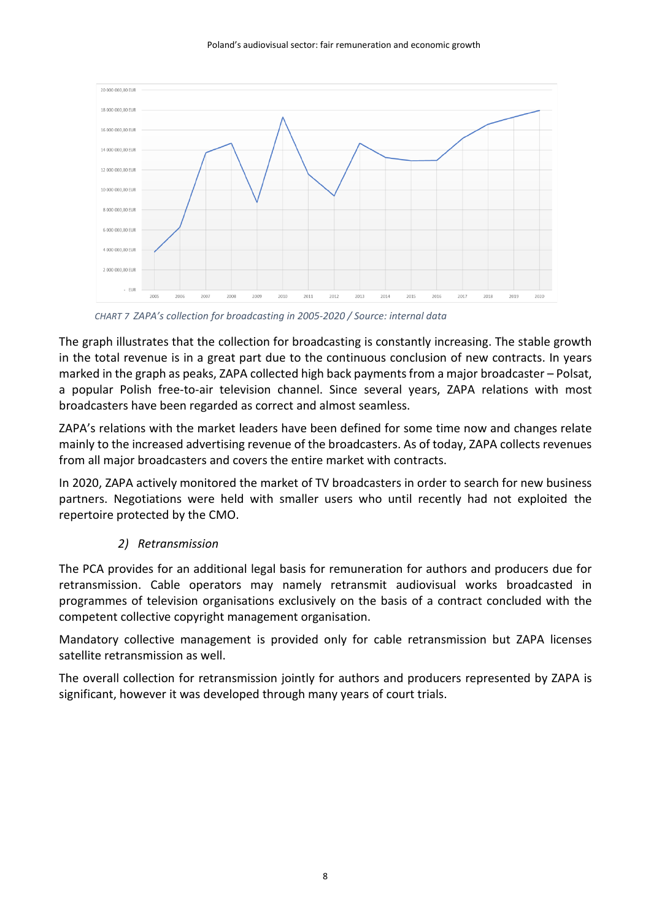Poland's audiovisual sector: fair remuneration and economic growth



 *CHART 7 ZAPA's collection for broadcasting in 2005-2020 / Source: internal data*

The graph illustrates that the collection for broadcasting is constantly increasing. The stable growth in the total revenue is in a great part due to the continuous conclusion of new contracts. In years marked in the graph as peaks, ZAPA collected high back payments from a major broadcaster – Polsat, a popular Polish free-to-air television channel. Since several years, ZAPA relations with most broadcasters have been regarded as correct and almost seamless.

ZAPA's relations with the market leaders have been defined for some time now and changes relate mainly to the increased advertising revenue of the broadcasters. As of today, ZAPA collects revenues from all major broadcasters and covers the entire market with contracts.

In 2020, ZAPA actively monitored the market of TV broadcasters in order to search for new business partners. Negotiations were held with smaller users who until recently had not exploited the repertoire protected by the CMO.

# *2) Retransmission*

The PCA provides for an additional legal basis for remuneration for authors and producers due for retransmission. Cable operators may namely retransmit audiovisual works broadcasted in programmes of television organisations exclusively on the basis of a contract concluded with the competent collective copyright management organisation.

Mandatory collective management is provided only for cable retransmission but ZAPA licenses satellite retransmission as well.

The overall collection for retransmission jointly for authors and producers represented by ZAPA is significant, however it was developed through many years of court trials.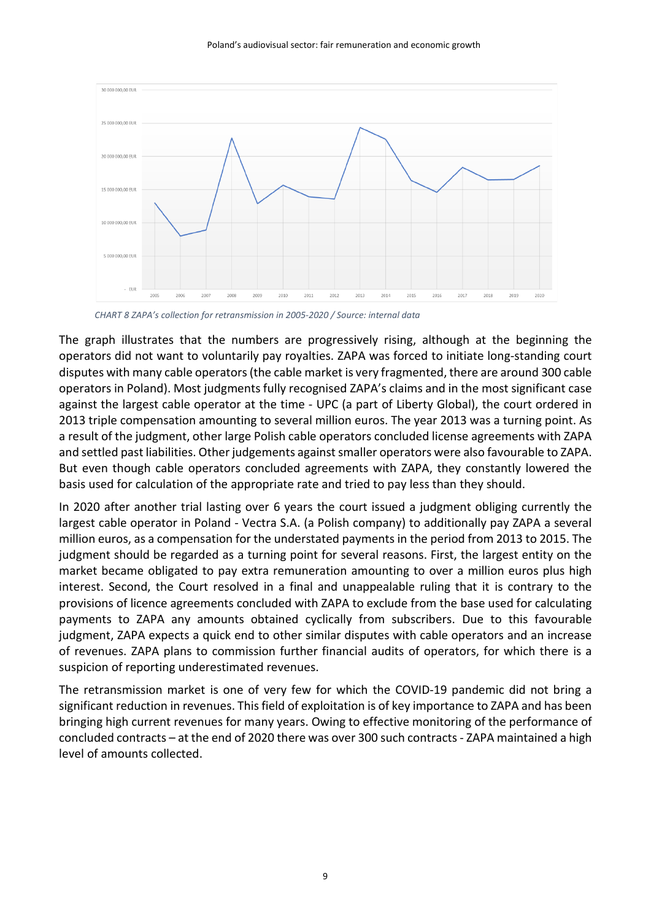

 *CHART 8 ZAPA's collection for retransmission in 2005-2020 / Source: internal data*

The graph illustrates that the numbers are progressively rising, although at the beginning the operators did not want to voluntarily pay royalties. ZAPA was forced to initiate long-standing court disputes with many cable operators (the cable market is very fragmented, there are around 300 cable operators in Poland). Most judgments fully recognised ZAPA's claims and in the most significant case against the largest cable operator at the time - UPC (a part of Liberty Global), the court ordered in 2013 triple compensation amounting to several million euros. The year 2013 was a turning point. As a result of the judgment, other large Polish cable operators concluded license agreements with ZAPA and settled past liabilities. Other judgements against smaller operators were also favourable to ZAPA. But even though cable operators concluded agreements with ZAPA, they constantly lowered the basis used for calculation of the appropriate rate and tried to pay less than they should.

In 2020 after another trial lasting over 6 years the court issued a judgment obliging currently the largest cable operator in Poland - Vectra S.A. (a Polish company) to additionally pay ZAPA a several million euros, as a compensation for the understated payments in the period from 2013 to 2015. The judgment should be regarded as a turning point for several reasons. First, the largest entity on the market became obligated to pay extra remuneration amounting to over a million euros plus high interest. Second, the Court resolved in a final and unappealable ruling that it is contrary to the provisions of licence agreements concluded with ZAPA to exclude from the base used for calculating payments to ZAPA any amounts obtained cyclically from subscribers. Due to this favourable judgment, ZAPA expects a quick end to other similar disputes with cable operators and an increase of revenues. ZAPA plans to commission further financial audits of operators, for which there is a suspicion of reporting underestimated revenues.

The retransmission market is one of very few for which the COVID-19 pandemic did not bring a significant reduction in revenues. This field of exploitation is of key importance to ZAPA and has been bringing high current revenues for many years. Owing to effective monitoring of the performance of concluded contracts – at the end of 2020 there was over 300 such contracts - ZAPA maintained a high level of amounts collected.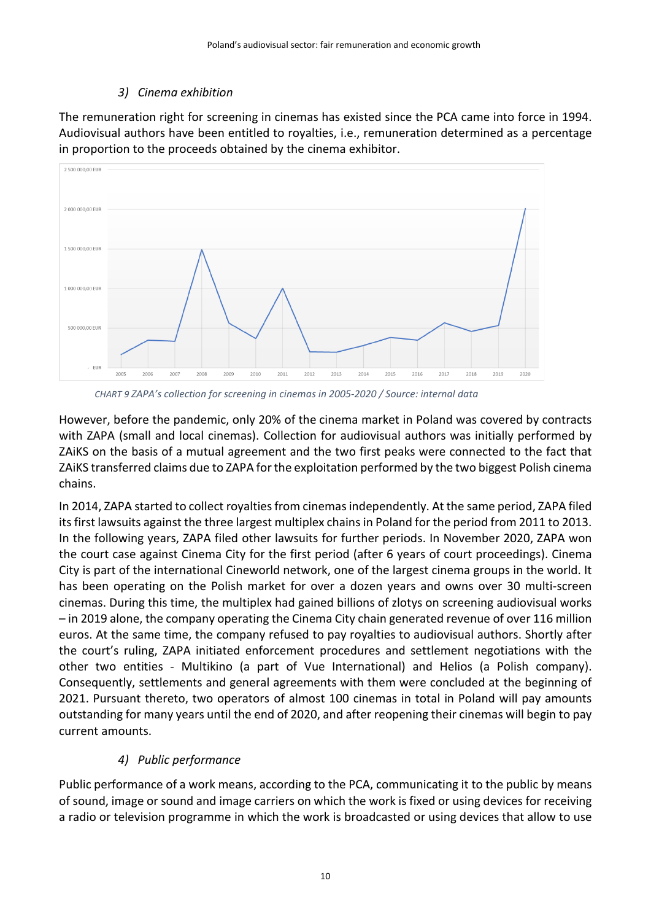## *3) Cinema exhibition*

The remuneration right for screening in cinemas has existed since the PCA came into force in 1994. Audiovisual authors have been entitled to royalties, i.e., remuneration determined as a percentage in proportion to the proceeds obtained by the cinema exhibitor.



 *CHART 9 ZAPA's collection for screening in cinemas in 2005-2020 / Source: internal data*

However, before the pandemic, only 20% of the cinema market in Poland was covered by contracts with ZAPA (small and local cinemas). Collection for audiovisual authors was initially performed by ZAiKS on the basis of a mutual agreement and the two first peaks were connected to the fact that ZAiKS transferred claims due to ZAPA for the exploitation performed by the two biggest Polish cinema chains.

In 2014, ZAPA started to collect royalties from cinemas independently. At the same period, ZAPA filed its first lawsuits against the three largest multiplex chains in Poland for the period from 2011 to 2013. In the following years, ZAPA filed other lawsuits for further periods. In November 2020, ZAPA won the court case against Cinema City for the first period (after 6 years of court proceedings). Cinema City is part of the international Cineworld network, one of the largest cinema groups in the world. It has been operating on the Polish market for over a dozen years and owns over 30 multi-screen cinemas. During this time, the multiplex had gained billions of zlotys on screening audiovisual works – in 2019 alone, the company operating the Cinema City chain generated revenue of over 116 million euros. At the same time, the company refused to pay royalties to audiovisual authors. Shortly after the court's ruling, ZAPA initiated enforcement procedures and settlement negotiations with the other two entities - Multikino (a part of Vue International) and Helios (a Polish company). Consequently, settlements and general agreements with them were concluded at the beginning of 2021. Pursuant thereto, two operators of almost 100 cinemas in total in Poland will pay amounts outstanding for many years until the end of 2020, and after reopening their cinemas will begin to pay current amounts.

# *4) Public performance*

Public performance of a work means, according to the PCA, communicating it to the public by means of sound, image or sound and image carriers on which the work is fixed or using devices for receiving a radio or television programme in which the work is broadcasted or using devices that allow to use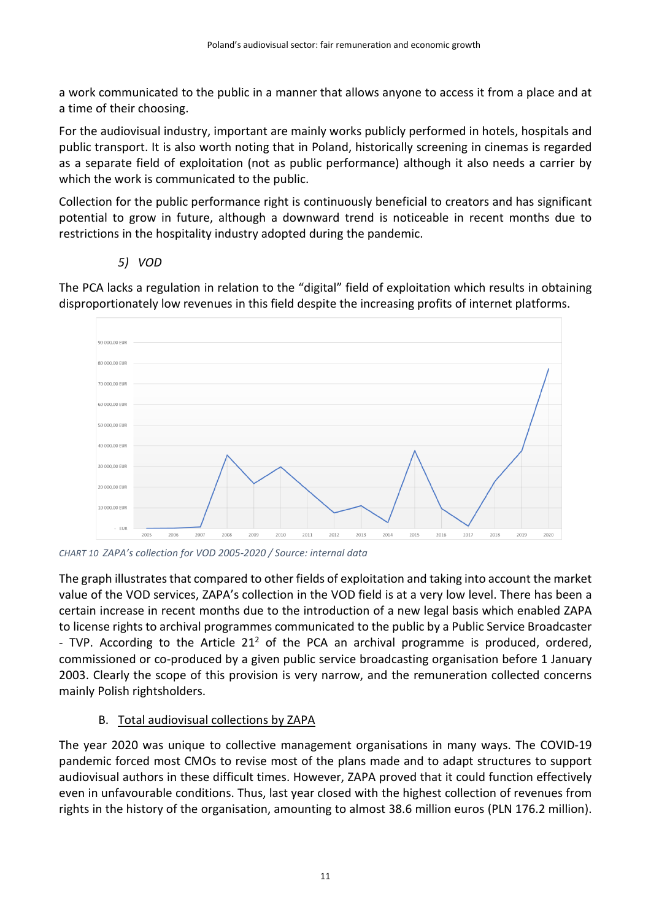a work communicated to the public in a manner that allows anyone to access it from a place and at a time of their choosing.

For the audiovisual industry, important are mainly works publicly performed in hotels, hospitals and public transport. It is also worth noting that in Poland, historically screening in cinemas is regarded as a separate field of exploitation (not as public performance) although it also needs a carrier by which the work is communicated to the public.

Collection for the public performance right is continuously beneficial to creators and has significant potential to grow in future, although a downward trend is noticeable in recent months due to restrictions in the hospitality industry adopted during the pandemic.

*5) VOD*

90 000.00 EUR 80 000.00 EUR 70 000,00 EUR 60.000.00 EUR 50 000,00 EUR 40 000,00 EUR 30 000.00 FUR 20 000.00 EUR 10 000.00 EUR EUR 2007 2015 2008 2010 2011 2012 2013 2014 201  $201$ 2018 2019

The PCA lacks a regulation in relation to the "digital" field of exploitation which results in obtaining disproportionately low revenues in this field despite the increasing profits of internet platforms.

*CHART 10 ZAPA's collection for VOD 2005-2020 / Source: internal data*

The graph illustrates that compared to other fields of exploitation and taking into account the market value of the VOD services, ZAPA's collection in the VOD field is at a very low level. There has been a certain increase in recent months due to the introduction of a new legal basis which enabled ZAPA to license rights to archival programmes communicated to the public by a Public Service Broadcaster - TVP. According to the Article  $21<sup>2</sup>$  of the PCA an archival programme is produced, ordered, commissioned or co-produced by a given public service broadcasting organisation before 1 January 2003. Clearly the scope of this provision is very narrow, and the remuneration collected concerns mainly Polish rightsholders.

### B. Total audiovisual collections by ZAPA

The year 2020 was unique to collective management organisations in many ways. The COVID-19 pandemic forced most CMOs to revise most of the plans made and to adapt structures to support audiovisual authors in these difficult times. However, ZAPA proved that it could function effectively even in unfavourable conditions. Thus, last year closed with the highest collection of revenues from rights in the history of the organisation, amounting to almost 38.6 million euros (PLN 176.2 million).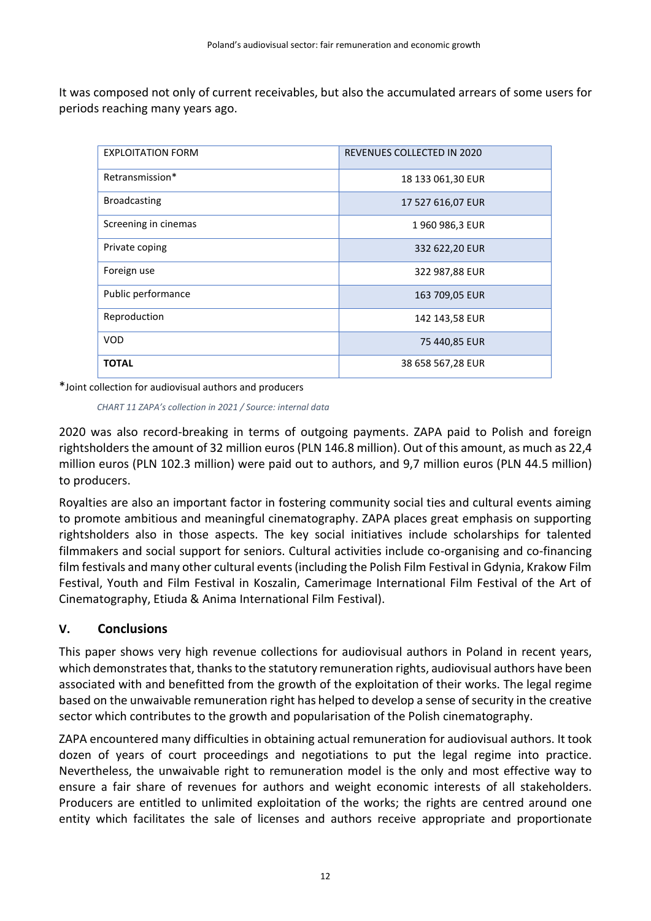It was composed not only of current receivables, but also the accumulated arrears of some users for periods reaching many years ago.

| <b>EXPLOITATION FORM</b> | REVENUES COLLECTED IN 2020 |
|--------------------------|----------------------------|
| Retransmission*          | 18 133 061,30 EUR          |
| <b>Broadcasting</b>      | 17 527 616,07 EUR          |
| Screening in cinemas     | 1960986,3 EUR              |
| Private coping           | 332 622,20 EUR             |
| Foreign use              | 322 987,88 EUR             |
| Public performance       | 163 709,05 EUR             |
| Reproduction             | 142 143,58 EUR             |
| <b>VOD</b>               | 75 440,85 EUR              |
| <b>TOTAL</b>             | 38 658 567,28 EUR          |

\*Joint collection for audiovisual authors and producers

 *CHART 11 ZAPA's collection in 2021 / Source: internal data* 

2020 was also record-breaking in terms of outgoing payments. ZAPA paid to Polish and foreign rightsholders the amount of 32 million euros (PLN 146.8 million). Out of this amount, as much as 22,4 million euros (PLN 102.3 million) were paid out to authors, and 9,7 million euros (PLN 44.5 million) to producers.

Royalties are also an important factor in fostering community social ties and cultural events aiming to promote ambitious and meaningful cinematography. ZAPA places great emphasis on supporting rightsholders also in those aspects. The key social initiatives include scholarships for talented filmmakers and social support for seniors. Cultural activities include co-organising and co-financing film festivals and many other cultural events (including the Polish Film Festival in Gdynia, Krakow Film Festival, Youth and Film Festival in Koszalin, Camerimage International Film Festival of the Art of Cinematography, Etiuda & Anima International Film Festival).

### **V. Conclusions**

This paper shows very high revenue collections for audiovisual authors in Poland in recent years, which demonstrates that, thanksto the statutory remuneration rights, audiovisual authors have been associated with and benefitted from the growth of the exploitation of their works. The legal regime based on the unwaivable remuneration right has helped to develop a sense of security in the creative sector which contributes to the growth and popularisation of the Polish cinematography.

ZAPA encountered many difficulties in obtaining actual remuneration for audiovisual authors. It took dozen of years of court proceedings and negotiations to put the legal regime into practice. Nevertheless, the unwaivable right to remuneration model is the only and most effective way to ensure a fair share of revenues for authors and weight economic interests of all stakeholders. Producers are entitled to unlimited exploitation of the works; the rights are centred around one entity which facilitates the sale of licenses and authors receive appropriate and proportionate